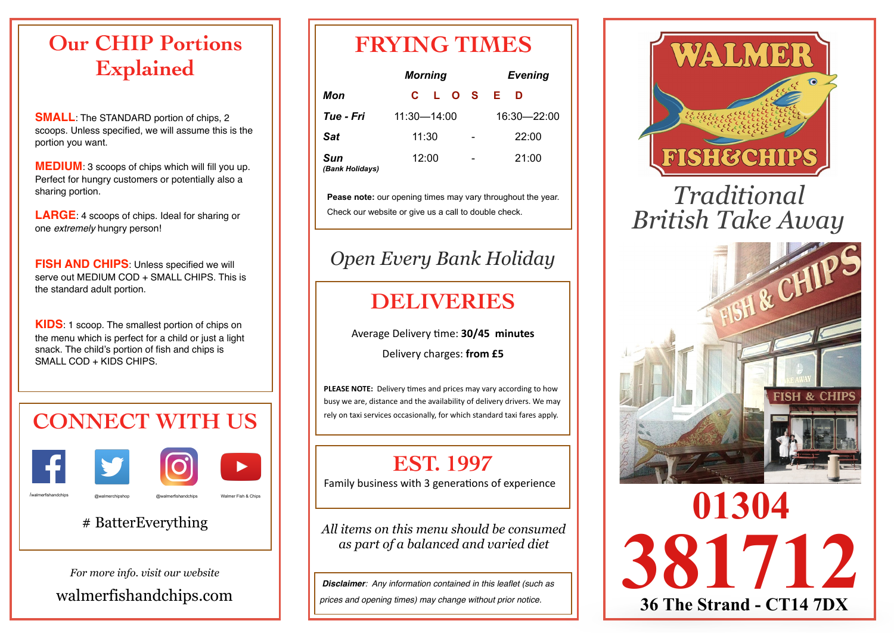#### **Our CHIP Portions Explained**

**SMALL**: The STANDARD portion of chips, 2 scoops. Unless specified, we will assume this is the portion you want.

**MEDIUM**: 3 scoops of chips which will fill you up. Perfect for hungry customers or potentially also a sharing portion.

**LARGE**: 4 scoops of chips. Ideal for sharing or one *extremely* hungry person!

**FISH AND CHIPS:** Unless specified we will serve out MEDIUM COD + SMALL CHIPS. This is the standard adult portion.

**KIDS**: 1 scoop. The smallest portion of chips on the menu which is perfect for a child or just a light snack. The child's portion of fish and chips is SMALL COD + KIDS CHIPS.

# **CONNECT WITH US**





/walmerfishandchips @walmerchipshop @walmerfishandchips Walmer Fish & Chips

#### # BatterEverything

*For more info. visit our website*

[walmerfishandchips.com](http://www.walmerfishandchips.com)

### **FRYING TIMES**

|                        | <b>Morning</b> |  |             | <b>Evening</b>               |       |  |
|------------------------|----------------|--|-------------|------------------------------|-------|--|
| Mon                    |                |  |             | C L O S E                    | D     |  |
| Tue - Fri              | 11:30-14:00    |  | 16:30-22:00 |                              |       |  |
| <b>Sat</b>             | 11:30          |  |             | $\qquad \qquad \blacksquare$ | 22:00 |  |
| Sun<br>(Bank Holidays) | 12:00          |  |             | $\overline{\phantom{0}}$     | 21:00 |  |

**Pease note:** our opening times may vary throughout the year. Check our website or give us a call to double check.

#### *Open Every Bank Holiday*

### **DELIVERIES**

Average Delivery time: 30/45 minutes

Delivery charges: from £5

**PLEASE NOTE:** Delivery times and prices may vary according to how busy we are, distance and the availability of delivery drivers. We may rely on taxi services occasionally, for which standard taxi fares apply.

### **EST. 1997**

Family business with 3 generations of experience

*All items on this menu should be consumed as part of a balanced and varied diet*

*Disclaimer: Any information contained in this leaflet (such as* 

*prices and opening times) may change without prior notice.*



# *Traditional British Take Away*



**36 The Strand - CT14 7DX**

**01304** 

**381712**